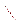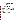#### **OVERVIEW SECTION**

**AGENCY:** ENVIRONMENTAL PROTECTION AGENCY (EPA) **TITLE: "**TRUCK ENGINE IDLE REDUCTION TECHNOLOGY DEMONSTRATION PROGRAM" **ACTION:** Request for Applications (RFA)

**RFA NO:** OAR-TRPD-05-09

### **CATALOG OF FEDERAL DOMESTIC ASSISTANCE (CFDA) NO:** 66.034

**DATES:** The closing date and time for receipt of Applications is June 6, 2005, 4:00 EDT. All applications, however transmitted, must be received in the Program Office by the closing date and time to receive consideration.

To allow for efficient management of the competitive process, EPA requests eligible organizations submit an informal notice of "Intent to Apply" by May 6, 2005. Submission of an Intent to Apply is optional; it is a process management tool that will allow EPA to better anticipate the total staff time required for efficient review, evaluation, and selection of submitted proposals.

A pre-application assistance conference call will be conducted on May 16, 2005 to answer questions, from prospective applicants, related to this solicitation. *(Refer to Section VIII, Pre-Application Assistance.)*

**SUMMARY:** This notice announces the availability of funds and solicits proposals from eligible entities to evaluate idle reduction technologies to achieve emission reductions and energy savings from the transportation sector. This effort is part of EPA's Office of Transportation and Air Quality, SmartWay Transport Partnership, a voluntary government-industry initiative for the freight industry.

**FUNDING/AWARDS:** The total estimated funding for this competitive opportunity shall not exceed \$5,000,000. In FY 2005, total funding shall not exceed \$5,000,000. EPA anticipates award of one or more cooperative agreements, whose annual value shall not exceed \$5,000,000, resulting from this competitive opportunity.

#### **CONTENTS BY SECTION**

- I. Funding Opportunity Description
- II. Award Information
- III. Eligibility Information
- IV. Application and Submission Information
- V. Application Review Information
- VI. Award Administration Information
- VII. Agency Contact
- VIII. Other Information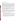#### **Section I - Funding Opportunity Description**

#### **A. Background.**

Heavy duty diesel trucks idle their engines for a variety of reasons. Typically, the need to maintain a comfortable temperature within the truck cab (sleeper compartment) is a major reason for long duration idling. While other reasons for idling exist, EPA recognizes the need for truck drivers to rest comfortably and safely within their truck. EPA is committed to finding practical and reasonable alternatives to reduce idling. Nevertheless, long duration idling increases fuel consumption and engine maintenance, and shortens the engine life. This increases the cost to the truck owner. Increased fuel consumption also leads to greater reliance on foreign oil. Further, idling trucks also emit considerable amounts of mobile air emissions, such as carbon dioxide, nitrogen oxide, particulate matter and other air toxics. This contributes to communities failing to meet national air quality standards, thereby resulting in health risks and actions by states, counties, and local jurisdictions to reduce these emissions. Finally, pollution from diesel vehicles has health implications for everyone, especially truck drivers.

One of the most effective ways to reduce long duration idling is through the use of idle reduction technologies. These technologies take many shapes and forms, but are basically either mobile (attaches to the truck) or stationary (attaches to the ground), or a combination of mobile and stationary. Truck fleet owners and drivers may prefer one technology over another based on a variety of factors: cost, convenience, weight, maintenance, durability, size, power, and past experience. EPA takes no position on, nor endorses any idle reduction technology.

EPA is committed to leading the Federal government and industry in efforts to reduce, and ultimately eliminate, unnecessary engine idling. EPA's programs to accomplish these goals are broad and encompass major initiatives, such as education, emissions testing, demonstration projects, research and development, health exposure studies, state air quality credit incentives, and market based incentives. EPA is also cooperating with parties interested in achieving a more consistent approach with state idling laws. Today's effort marks EPA's most ambitious effort to reduce idling through a grant assistance program covering three major categories.

### **B. EPA Strategic Plan Linkage and Anticipated Outcomes/Outputs.**

- 1. *Linkage to EPA Strategic Plan*. This project supports progress towards EPA Strategic Plan Goal 1 (Clean Air and Global Climate Change), Objectives 1.1 (Healthier Outdoor Air), 1.3 (Protect the Ozone Layer), and 1.5 (Reduce Greenhouse Gas Intensity). The following Sub-Objectives also apply: 1.1.1 (More People Breathing Cleaner Air) and 1.1.2 (Reduce Risk from Toxic Air Pollutants).
- *2. Outcomes.* Through this project EPA anticipates increasing internal combustion fuel efficiency and reducing exhaust emissions, mainly particulate matter, nitrogen oxides, and carbon dioxide.
- 3. *Outputs.* The anticipated output for this project is the evaluation and demonstration of idle reduction technologies on heavy-duty trucks as a means to reduce emissions and conserve fuel while allowing the truck driver to rest comfortably.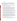#### **C. Scope of Work.**

The purpose of this solicitation is to demonstrate and study how mobile and stationary idle reduction technologies reduce emissions from idling trucks. The program will be divided into three categories. The division of grants in three categories is based on past program efforts, and knowledge of and experience with the trucking industry. Applicants can apply to one or more categories. The grant recipient must demonstrate the technologies and study their effectiveness in reducing actual idling times, thereby conserving fuel and reducing emissions.

The three categories are: (1) Small Trucking Company Grant Program (Mobile Technology); (2) Truck OEM/Fleet/Technology Vendor Grant Program (Mobile Technology); and (3) Ports, Borders, Terminals and Truck Stop Grant Program (Stationary Technology).

#### 1. Small Trucking Company Grant Program (Mobile Technology).

EPA recognizes that truck owner-operators and small trucking companies (less than fifty trucks) represent a significant segment of the long haul truck population. These truck owners generally own older trucks and keep their trucks longer than medium or large sized fleets. By virtue of the truck age, these trucks meet less stringent air emission standards. In other words, when compared with newer trucks these older trucks pollute more. Past grant programs in the Federal government have overlooked this segment of the truck population in favor of larger fleets. However, EPA believes that the greatest potential for emission reductions lies with this segment of the truck population.

The grant recipient must demonstrate the effectiveness of mobile technologies on trucks owned by owneroperators and small trucking companies (less than fifty trucks). The mobile idle reduction technology should be commercially available (for examples of commercially available technologies you can consult EPA's list at [http://www.epa.gov/otaq/smartway/idlingtechnologies.htm\)](http://www.epa.gov/otaq/smartway/idlingtechnologies.htm). Applicants may also propose technologies not on the list if these technologies are commercially available.

EPA is also interested in working with trucking companies that are partners in EPA's SmartWay Transport Partnership. More information on this voluntary program can be found at [http://www.epa.gov/smartway/.](http://www.epa.gov/smartway/) This partnership program works with the freight industry to establish goals for energy efficiency and emission reductions. SmartWay carrier partners have already committed to specific goals, and EPA is interested in working with these partners and assisting them with meeting their goals.

The grant recipient shall be responsible for obtaining baseline idling times prior to installing the technology, and tracking the actual idling times after installation. For example, the owner-operator or small trucking company may provide electronic engine control module data on idling for a calendar quarter prior to installing the mobile idle reduction technology, and for every calendar quarter for twelve months after installation. Other approaches may be accepted if the data conveys a high degree of accuracy. Further, the grant recipient shall be responsible for submitting a final case study report to EPA at the conclusion of the study, and publicizing the case study to the trucking industry to increase the knowledge, awareness, and lessons learned from the project.

### 2. Truck OEM/Fleet/Technology Vendor Grant Program (Mobile Technology).

One of the greatest challenges to demonstrating mobile idle reduction technologies on trucks today is the fact that many of these technologies are after-market purchases only. While a few technologies are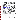available at the factory level (such as direct fired heaters), the vast majority of auxiliary power units (APUs) are all after-market purchases. This serves as a considerable disincentive for fleets to purchase mobile idle reduction technologies because they have to take their trucks off-line (out of business) for a number of days to have the APUs installed. In addition, the base cost of the APUs increase as an aftermarket purchase due to the increased design and engineering to integrate the system to the truck. Past Federal grants have focused on installing a specific idle reduction technology at the factory level, but this required designing and engineering per that specific technology configuration, thereby limiting the potential for wider application.

This project focuses on evaluating a more cost effective approach at reducing emissions through an OEM (original equipment manufacturer) based installation kit strategy. This approach reduces costs and minimizes the burden on the truck OEM by developing an installation kit or kits specifically for APUs. Under this grant program, the recipient must work with truck OEMs, truck fleets, and technology vendors to design an installation kit or kits, at the truck OEM level, that apply to one or more APUs to the extent feasible. As with the Small Trucking Company Program Grant, the auxiliary power unit should be commercially available (for examples see EPA's list of idle reduction technologies [http://www.epa.gov/otaq/smartway/idlingtechnologies.htm\)](http://www.epa.gov/otaq/smartway/idlingtechnologies.htm). Applicants may also propose technologies not on the list if these technologies are commercially available.

EPA is also interested in working with trucking companies that are partners in EPA's SmartWay Transport Partnership. More information on this voluntary program can be found at [http://www.epa.gov/smartway/.](http://www.epa.gov/smartway/) This partnership program works with the freight industry to establish goals for energy efficiency and emission reductions. SmartWay carrier partners have already committed to specific goals, and EPA is interested in working with these partners and assisting them with meeting their goals.

The grant recipient must: (1) evaluate in-use performance of the technology by characterizing actual idle reduction times from an idling baseline provided by the fleet from existing trucks; (2) work with its partners to evaluate fuel, maintenance, engine life savings, payback times, and user reactions; and (3) submit a final case study report to EPA at the conclusion of the study, and publicize the case study to the trucking industry to increase the knowledge, awareness, and lessons learned from the project.

### 3. Ports, Borders, Terminals and Truck Stop Grant Program (Stationary Technology).

Expanding on the success of EPA's "National Transportation Idle Free Corridors" program which awarded \$1 million in grants to demonstrate and study electrified parking spaces, EPA, today, introduces a different grant program in two parts. The first part examines the effectiveness of a corridor approach to deploying stationary idle reduction technologies along major interstates of the National Highway System. The second part focuses on installing stationary idle reduction technology and a communications system at ports, borders, and/or large company terminals.

a. *Truck Stops.* EPA is committed to promoting a national transportation idle free corridor along major interstates. The 2004 awards in Eastern States such as Massachusetts, New York, North Carolina, and Pennsylvania will evaluate stationary idle reduction technologies at truck stops. This project differs by evaluating the effectiveness of an idle-free corridor design. Under this grant, the recipient 's demonstration and study must evaluate the most appropriate locations to install a stationary idle reduction technology along a particular corridor (or corridors), then, the recipient must actually install and study the technology as part of an idle-free corridor design. The grant recipient must work towards completing and evaluating an idle free corridor design based on existing stationary idle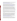reduction projects, anticipated future projects, and the projects associated with this award. As with the other grant programs discussed in this solicitation, the stationary idle reduction technology should be commercially available (for examples see EPA's list at [http://www.epa.gov/otaq/smartway/idlingtechnologies.htm\)](http://www.epa.gov/otaq/smartway/idlingtechnologies.htm). Applicants may also propose technologies not on the list if these technologies are commercially available.

EPA is interested in proposals that evaluate the technology, "Advanced Truck Stop Electrification," as indicated by Congress in its appropriations line item request of EPA. EPA is also interested in working with trucking companies that are partners in EPA's SmartWay Transport Partnership. More information on this voluntary program can be found at [http://www.epa.gov/smartway/.](http://www.epa.gov/smartway/) This partnership program works with the freight industry to establish goals for energy efficiency and emission reductions. SmartWay carrier partners have already committed to certain goals, and EPA is interested in working with these partners and assisting them with meeting their goals.

The grant recipient must work with its partners to conduct a pre-site selection evaluation of the potential sites for demonstration to determine: (1) the average number of trucks parking overnight, and (2) the average number of trucks idling overnight. EPA prefers locations with a high nightly occupancy rate and a high nightly idling rate for demonstration of the stationary idle reduction technology. After installation, the grant recipient and its partners must: (1) track and report the amount of time, in hours per overnight usage and by location, of the technology; (2) evaluate this usage time with the pre-installation idling times to determine the net reduction in idling times for that location; and (3) submit a final case study report to EPA at the conclusion of the study, and publicize the case study to the trucking industry to increase the knowledge, awareness, and lessons learned from the project.

b. *Ports, Borders, and Large Company Terminals.* In addition to truck stops and rest areas, trucks will also idle while waiting to pick up or drop off a load at ports and company terminals. Sometimes the trucks simply wait for hours in long lines at ports, slowly inching forward. This type of idling is known as "creep" idling. Trucks will also experience "creep" idling while waiting to cross the U.S-Mexico and U.S.-Canada borders. Heightened security concerns at ports and borders may increase these wait times.

One potential alternative to alleviate "creep" idling at ports, borders, and large company terminals is to establish a waiting area within close proximity to the facility. The waiting area should, but is not required to, be an already existing truck stop or rest area, or at the company terminal. The grant recipient must build partnerships with stationary technology vendors, and port/border/company terminal owners or operators to select and develop potential locations that could benefit from a stationary idle reduction project. The stationary idle reduction technology must also have a communication system so the port/border/company owners or operators can coordinate loading and unloading with the trucks. As with all the idle reduction technologies in this grant solicitation, they should be commercially available (for examples see EPA's list at [http://www.epa.gov/otaq/smartway/idlingtechnologies.htm\)](http://www.epa.gov/otaq/smartway/idlingtechnologies.htm). Applicants may also propose technologies not on the list if these technologies are commercially available.

EPA is interested in proposals that evaluate the technology, "Advanced Truck Stop Electrification," as indicated by Congress in its appropriations line item request of EPA. EPA is also interested in working with trucking companies that are partners in EPA's SmartWay Transport Partnership. This partnership program works with the freight industry to establish goals for energy efficiency and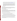emission reductions. SmartWay carrier partners have already committed to specific goals, and EPA is interested in working with these partners and assisting them with meeting their goals. Additional information on this voluntary program is available a[t http://www.epa.gov/smartway/](http://www.epa.gov/smartway/).

The grant recipient and its partners must conduct a similar pre-site selection evaluation of the port, border, or large company terminal as described above under "Truck Stops." After installation, the technology manufacturer must track and report the amount of time, in hours per overnight usage and by location, of the technology. The grant recipient must evaluate this usage time with the preinstallation idling times to determine the net reduction in idling times for that location. Further, the grant recipient must submit a final case study report to EPA at the conclusion of the study, and publicize the case study to the trucking industry to increase the knowledge, awareness, and lessons learned from the project.

#### **D. Statutory Authority**

The statutory authority for this action is the Clean Air Act, Section 103(a)(1) which authorizes the Administrator to establish programs that conduct and promote the coordination and acceleration of research, investigations, experiments, demonstrations, surveys, and studies relating to the causes, effects (including health and welfare effects), extent, prevention, and control of air pollution.

#### **Section II - Award Information**.

#### **A. What is the amount of funding available?**

The total estimated funding for this competitive opportunity shall not exceed \$5,000,000. EPA anticipates funding the successful application incrementally over the negotiated project performance period, subject to satisfactory performance and the availability of funds. In FY 2005, total funding shall not exceed \$5,000,000. The specific amounts to be awarded in any category will depend on the quality of all proposals received and evaluated. EPA reserves the right to partially fund projects.

## **B. How many agreements will EPA award in this competition?**

EPA anticipates award of one or more cooperative agreements, in each of the three categories identified in Section I of this solicitation, whose total value shall not exceed the following amounts:

- 1. Small Trucking Company Grant Program (Mobile Technology) \$500,000
- 2. Truck OEM/Fleet/Technology Vendor Grant Program (Mobile Technology) \$1,000,000
- 3. Ports, Borders, Terminals and Truck Stop Grant Program (Stationary Technology) \$3,500,000

EPA reserves the right to modify the amounts for awards in each of the three categories based on the quality of the proposals received and evaluated. For example, if Category I receives proposals that warrant award above the \$500,000 threshold, EPA may elect to move funds from Categories 2 and/or 3 to accomplish this goal.

Cooperative agreements permit substantial involvement between the EPA Project Officer and the selected applicants in the performance of the work supported. Although EPA will negotiate precise terms and conditions relating to substantial involvement as part of the award process, the anticipated substantial Federal involvement for this project will be: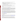US EPA ARCHIVE DOCUMENT

- 1. EPA will closely monitor the successful applicant's performance to verify the results proposed by the applicant;
- 2. EPA will work in collaboration with the recipient during performance of the work;
- 3. EPA will approve substantive terms of proposed contracts;
- 4. EPA will approve qualifications of key personnel (EPA will not select employees or contractors employed by the award recipient);
- 5. EPA will review and comment on reports prepared under the cooperative agreement (the final decision on the content of reports rests with the recipient).

## **C. What is the project period for awards resulting from this solicitation?**

The estimated project period for awards resulting from this solicitation is September 31, 2005 through September 30, 2009. All projects must be completed within the negotiated project performance period of one to four years.

## **D. Can funding be used to acquire services or fund partnerships?**

Funding may be used to acquire services or fund partnerships, provided the recipient follows procurement and subaward or subgrant procedures contained in 40 [CFR](http://www.gpoaccess.gov/cfr/retrieve.html) Parts 30 or 31, as applicable. Successful applicants must compete contracts for services and products and conduct cost and price analyses to the extent required by these regulations. The regulations also contain limitations on consultant compensation. Applicants are not required to identify contractors or consultants in their proposal. Moreover, the fact that a successful applicant has named a specific contractor or consultant in the proposal EPA approves does not relieve it of its obligations to comply with competitive procurement requirements.

Subgrants or subawards may be used to fund partnerships with non profit organizations and governmental entities. Successful applicants cannot use subgrants or subawards to avoid requirements in EPA grant regulations for competitive procurement by using these instruments to acquire commercial services or products to carry out its cooperative agreement. For profit organizations are not eligible subgrant recipients under this announcement. The nature of the transaction between the recipient and the subgrantee must be consistent with the standards for distinguishing between vendor transactions and subrecipient assistance under Subpart B Section .210 of [OMB Circular A-133,](http://www.whitehouse.gov/omb/circulars/a133/a133.html) and the definitions of "subaward" at 40 CFR 30.2(ff) or "subgrant" at 40 CFR 31.3, as applicable. EPA will not be a party to these transactions.

### **Section III - Eligibility Information**.

### **A. Eligible Entities.**

Proposals will be accepted from States, territories, Indian Tribes, and possessions of the U.S., including the District of Columbia, international organizations, public and private universities and colleges, hospitals, laboratories, and other public or private nonprofit institutions, as defined by [OMB Circular A-110](http://www.whitehouse.gov/omb/circulars/a110/a110.html) an[d OMB](http://www.whitehouse.gov/omb/circulars/a122/a122.html) [Circular A-122.](http://www.whitehouse.gov/omb/circulars/a122/a122.html)

Non-profit organization, as defined by OMB Circular A-122, means any corporation, trust, association, cooperative, or other organization which: (1) is operated primarily for scientific, educational, service, charitable, or similar purposes in the public interest; (2) is not organized primarily for profit; and (3) uses its net proceeds to maintain, improve, and/or expand its operations. For this purpose, the term "non-profit organization" excludes (I) colleges and universities; (ii) hospitals; (iii) state, local, and federally-recognized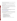Indian tribal governments; and (iv) those non-profit organizations which are excluded from coverage of this Circular in accordance with paragraph 5 of the Circular.

Non-profit organizations described in Section  $501(c)(4)$  of the Internal Revenue Code that engage in lobbying activities as defined in Section 3 of the Lobbying Disclosure Act of 1995 are not eligible to apply.

## **B. Cost-Sharing or Matching**

Although cost-sharing or matching is not required, as a condition of eligibility, or otherwise, for proposals selected for award, applicants proposing a voluntary financial or in-kind commitment of resources will improve their scoring under the "Resources" evaluation criterion of this solicitation. *(Refer to Section V(A), Evaluation Criteria.)*

Voluntary contributions of funds and/or in kind contributions of resources, if accepted by EPA, will be treated as cost shares under 40 CFR 30.24. Applicants must propose eligible and allowable in kind contributions of resources to qualify for an improved score under this criterion.

# **Section IV - Application and Submission Information.**

## **A. How to Obtain Application Package.**

Applicants may download individual grant application forms, or electronically request a paper application package and an accompanying computer CD of information related to applicants/grant recipients roles and responsibilities from EPA's Grants and Debarment website by visiting: [http://www.epa.gov/ogd/grants/how\\_to\\_apply.htm.](http://www.epa.gov/ogd/grants/how_to_apply.htm)

# **B. Content and Form of Application Submission.**

Applications must contain a narrative proposal, one completed and signed federal grant application package, and include 7 copies of the complete package as described below. The narrative proposal must explicitly describe the applicant's proposed project and specifically address each of the evaluation criteria disclosed in *Section V(A), Evaluation Criteria*.

- 1. A complete application must contain the following, in the sequential order shown:
	- a. SF-424 Application for Federal Assistance, with original signature.
	- b. Narrative Statement, in the format detailed below.
	- c. Other supporting documentation.
	- d. SF-424 A, Budget by categories and indirect cost rate.
	- e. SF-424 B, Assurances for non-construction programs.
	- f. Certification Regarding Lobbying and SF LLL, if applicable.
	- g. EPA Form 4700-4 Preaward Compliance review report.
	- h. Quality Assurance Narrative Statement, if applicable.
	- i. Copy of Negotiated Indirect Cost Rate Agreement, if applicable.
	- j. Biographical Sketch.
	- k. E-mail address or self-addressed envelope (to receive notification of receipt of application).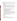- 2. The narrative proposal must be typed, single line spaced, double-sided, on  $8\frac{1}{2}$  " x  $11$ " paper with one-inch margins. The narrative proposal shall not exceed 10 pages (per category), and must conform to the following outline:
	- a. Cover Letter: Describe your organization's qualifications for the project; must be signed by an official with the authority to commit your organization to the project; and written on your organization's official letterhead.
	- b. Summary Information Page
		- 1. Project Title.
		- 2. Applicant Information. Include applicant (organization) name, address, contact person, phone number, fax and e-mail address. Also include the name and contact information of a secondary point of contact.
		- 3. Funding Requested. Specify the amount you are requesting from EPA.
	- c. Project Description. The project description must provide a concise overview of how the applicant will implement and conduct its operation and include a Project Work Plan (including a description of all tasks, potential dates of completion, products and deliverables, and proposed budget).

The narrative workplan must discuss how the proposal addresses each of the selection criteria in Section V and include:

- 1. A detailed project summary, describing specific actions and methods to be undertaken and the responsible institutions, including estimated time line for each task;
- 2. The associated work products to be developed (e.g. contract, sub-grants, if any);
- 3. An explanation of project benefits to the public;
- 4. An explanation of projected outcomes (e.g., fuel savings and emission reductions);
- 5. A description of the roles of the applicant and partners, if any;
- 6. Biographical information on key personnel identified;
- 7. Discussion of the applicant's:
	- i. past performance in successfully completing federally and/or non-federally funded projects similar in size, scope, and relevance to the proposed project;
	- ii. history of meeting reporting requirements on prior or current assistance agreements with federal and/or non-federal organizations and submitting acceptable final technical reports;
	- iii. organizational experience and plan for timely and successfully achieving the objectives of the project,
	- iv. staff expertise/qualifications, staff knowledge, and resources or the ability to obtain them, to successfully achieve the goals of the project;
- d. Detailed Itemized Budget. The proposal must include a detailed budget which clearly explains how funds will be used for the following categories (if applicable):
	- 1. Personnel
	- 2. Fringe Benefits
	- 3. Contractual Costs
	- 4. Travel
	- 5. Equipment
	- 6. Supplies
	- 7. Other (including intern stipends)
	- 8. Total Indirect Costs (must include documentation of accepted indirect rate)
	- 9. Total Cost

If not self-evident, entries under each category must be explained in the budget itself or in the project description. Costs proposed in the budget should be linked directly to the proposal.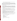e. Key Personnel. The applicant should submit an appendix with the resumes of up to three (3) key personnel who will be significantly involved in the project.

Applicants are strongly advised to avoid submission of non-essential materials unrelated to the proposal's requirements. Upon receipt, applications will be reviewed for content. Pages exceeding the maximum page limitation, per category, will not be considered. Applications which do not conform to the specific outline and content detailed above may not be considered for award. **Incomplete applications will not be considered for award.** All application materials must be completed in English.

## **C. Submission Dates and Times.**

1. To allow for efficient management of the competitive process, EPA requests eligible entities submit an informal notice of "Intent to Apply" by May 6, 2005, to the agency contact identified under *Section VII, Agency Contact.* Submission of an Intent to Apply is optional; it is a process management tool that will allow EPA to better anticipate the total staff time required for efficient review, evaluation, and selection of submitted proposals. Eligible entities not submitting an "Intent to Apply" are still eligible to apply by the closing date and time.

The written notice of "Intent to Apply" may be submitted via electronic mail to the contact person identified in Section VII, Agency Contact. Please provide the name of your organization, a point of contact, phone number, email address, and the title of your project.

- 2. The closing date and time for submission of completed application packages is June 6, 2005, 4:00 p.m. EDT. All applications, however transmitted, must be received in the Program Office by the closing date and time to receive consideration. Applications received after the closing date and time will not be considered for funding.
- 3. **Confidential Business Information.** In accordance with 40 CFR 2.203, applicants may claim all or a portion of their application/proposal as confidential business information. EPA will evaluate confidentiality claims in accordance with 40 CFR Part 2. Applicants must clearly mark applications/proposals or portions of applications/proposals they claim as confidential. If no claim of confidentiality is made, EPA is not required to make the inquiry to the applicant otherwise required by 40 CFR  $2.204(c)(2)$  prior to disclosure.
- 4. Because of the unique situation involving U.S. mail screening. EPA highly recommends that applicants use an express mail option to submit their applications. The application must be addressed to:

# Express Delivery Address (FedEx, UPS, DHL, etc.)

U.S. EPA Attn: Paul Bubbosh (6<sup>th</sup> Fl, Room 654C) 1310 L St., NW Washington, DC 20005-4113 Telephone: 202-343-9322

Regular Mail Delivery Address (U.S. Postal Service)

U.S. EPA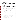Attn: Paul Bubbosh (MC 6406J) 1200 Pennsylvania Ave., NW Washington, DC 20460

Applicants must submit information relating to the programmatic capability evaluation criteria to be evaluated under Section V of this announcement. EPA will consider information provided by the applicant and may consider information from other sources including Agency files.

## **Section V - Application Review Information.**

# **A. Evaluation Criteria**

Each eligible proposal, based on Section III, Eligibility Information, will be evaluated according to the criteria set forth below. Proposals that are best able to directly and explicitly address the evaluation criteria below will have a greater likelihood of being selected for award. Each proposal will be rated under a points system, with a total of 100 points possible.

| <b>Category 1 - Small Trucking Company Grant Program (Mobile Technology)</b>                                                                                                                                                                                                                                                                                                                                                                                                                                                                                                                                                                                                                                                                                                                                                                                                                                                                                                                                                                                                                                                                                         | <b>Maximum</b><br><b>Points Per</b><br><b>Criterion</b> |
|----------------------------------------------------------------------------------------------------------------------------------------------------------------------------------------------------------------------------------------------------------------------------------------------------------------------------------------------------------------------------------------------------------------------------------------------------------------------------------------------------------------------------------------------------------------------------------------------------------------------------------------------------------------------------------------------------------------------------------------------------------------------------------------------------------------------------------------------------------------------------------------------------------------------------------------------------------------------------------------------------------------------------------------------------------------------------------------------------------------------------------------------------------------------|---------------------------------------------------------|
| <b>Project Description.</b> Consideration under this criterion will evaluate the applicant's:<br>Approach. Applicant proposal must demonstrate the methodology and approach to<br>evaluate and demonstrate the idle reduction technologies with truck owner-operators<br>and small trucking companies as a means to reduce emissions and conserve fuel.<br>Reputation. Applicant proposal must demonstrate a strong relationship and reputation<br>$\bullet$<br>with owner operators and small trucking companies. You must fully explain how you<br>have worked with this segment of the trucking industry.<br>Outreach. Applicant proposal must demonstrate their national stature and outreach<br>$\bullet$<br>capability. Fully explain how you work with truck drivers and fleet owners all around<br>the country. What are your outreach and communication skills and strategies?<br>Environment. Applicant proposal must demonstrate their experience or capability to<br>$\bullet$<br>analyze and track environmental results from truck engine performance data, including<br>engine control module data and truck driver and owner reactions and opinions. | 25                                                      |
| Programmatic Capability. Extent to which proposal demonstrates the applicant's<br>technical capability to successfully carry out this project. This factor will evaluate the<br>applicant's:<br>past performance in successfully completing federally and/or non-federally funded<br>$\bullet$<br>projects similar in size, scope, and relevance to the proposed project;<br>history of meeting reporting requirements on prior or current assistance agreements with<br>$\bullet$<br>federal and/or non-federal organizations and submitting acceptable final technical<br>reports;<br>organizational experience and plan for timely and successfully achieving the objectives<br>$\bullet$<br>of the project,<br>staff expertise/qualifications, staff knowledge, and resources or the ability to obtain<br>$\bullet$<br>them, to successfully achieve the goals of the project.                                                                                                                                                                                                                                                                                   | 25                                                      |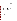| Resources.<br>Budget: Applicant budget proposal must be clearly stated, detailed, and appropriate to<br>achieve the project's objectives.<br>Leveraging: The proposal demonstrates (I) how the applicant will coordinate the use of<br>$\bullet$<br>EPA funding with other Federal and/or non Federal sources of funds to leverage<br>additional resources to carry out the proposed project(s) and/or (ii) that EPA funding<br>will compliment activities relevant to the proposed project(s) carried out by the<br>applicant with other sources of funds or resources. Applicants may use their own funds<br>or other resources for a voluntary match or cost share if the standards at 40 CFR 30.23<br>or 40 CFR 31.24, as applicable, are met. Only eligible and allowable costs may be used<br>for matches or cost shares. Other Federal grants may not be used as matches or cost<br>shares without specific statutory authority (e.g. HUD's Community Development Block<br>Grants. | 25 |
|-------------------------------------------------------------------------------------------------------------------------------------------------------------------------------------------------------------------------------------------------------------------------------------------------------------------------------------------------------------------------------------------------------------------------------------------------------------------------------------------------------------------------------------------------------------------------------------------------------------------------------------------------------------------------------------------------------------------------------------------------------------------------------------------------------------------------------------------------------------------------------------------------------------------------------------------------------------------------------------------|----|
| Technology.<br>Proposal demonstrates how the applicant will evaluate and study commercially available<br>idle reduction technologies.                                                                                                                                                                                                                                                                                                                                                                                                                                                                                                                                                                                                                                                                                                                                                                                                                                                     | 15 |
| <b>Program Integration.</b><br>This factor measures the extent to which the applicant's proposal may be integrated with<br>other initiatives developed, or to be developed, by existing and potential program<br>partners under EPA's SmartWay Transport Program. Trucking fleets which are not<br>EPA program partners may be offered as part of your project proposal. Additional<br>information on the SmartWay Program is available on the internet at:<br>http://www.epa.gov/smartway.                                                                                                                                                                                                                                                                                                                                                                                                                                                                                               | 10 |

| <b>Category 2 - Truck OEM/Fleet/Technology Vendor Grant Program (Mobile</b><br><b>Technology</b> )                                                                                                                                                                                                                                                                                                                                                                                                                                                                                                                                                                                                                                                                                                                                                                                                                                                                                                                                                                                                                                                                                                                                                                                         | <b>Maximum</b><br><b>Points Per</b><br><b>Criterion</b> |
|--------------------------------------------------------------------------------------------------------------------------------------------------------------------------------------------------------------------------------------------------------------------------------------------------------------------------------------------------------------------------------------------------------------------------------------------------------------------------------------------------------------------------------------------------------------------------------------------------------------------------------------------------------------------------------------------------------------------------------------------------------------------------------------------------------------------------------------------------------------------------------------------------------------------------------------------------------------------------------------------------------------------------------------------------------------------------------------------------------------------------------------------------------------------------------------------------------------------------------------------------------------------------------------------|---------------------------------------------------------|
| <b>Project Description.</b> Consideration under this criterion will evaluate the applicant's:<br>Approach. Applicant proposal must demonstrate the methodology and approach to<br>evaluate and demonstrate the idle reduction technology installation package (installation<br>kit and auxiliary power unit) with truck OEMs, truck fleets, and mobile idle reduction<br>technology vendors as a means to reduce emissions and conserve fuel.<br>Reputation. Applicant proposal must demonstrate a strong relationship and reputation<br>with truck OEMs, truck fleets, and mobile idle reduction technology vendors. You must<br>fully explain how you have worked with these segments of the trucking industry.<br>Outreach. Applicant proposal must demonstrate their national stature and outreach<br>capability. Fully explain how you work with truck OEMs, truck fleets, and mobile idle<br>reduction technology vendors all around the country. What are your outreach and<br>communication skills and strategies?<br>Environment. Applicant proposal must demonstrate their experience or capability to<br>analyze and track environmental results from truck engine performance data, including<br>engine control module data and truck driver and owner reactions and opinions. | 25                                                      |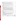| <b>Programmatic Capability.</b> Extent to which proposal demonstrates the applicant's<br>technical capability to successfully carry out this project. This factor will evaluate the<br>applicant's:<br>past performance in successfully completing federally and/or non-federally funded<br>projects similar in size, scope, and relevance to the proposed project;<br>history of meeting reporting requirements on prior or current assistance agreements with<br>$\bullet$<br>federal and/or non-federal organizations and submitting acceptable final technical<br>reports;<br>organizational experience and plan for timely and successfully achieving the objectives<br>$\bullet$<br>of the project,<br>staff expertise/qualifications, staff knowledge, and resources or the ability to obtain<br>$\bullet$<br>them, to successfully achieve the goals of the project.                                                                                                                           | 25 |
|--------------------------------------------------------------------------------------------------------------------------------------------------------------------------------------------------------------------------------------------------------------------------------------------------------------------------------------------------------------------------------------------------------------------------------------------------------------------------------------------------------------------------------------------------------------------------------------------------------------------------------------------------------------------------------------------------------------------------------------------------------------------------------------------------------------------------------------------------------------------------------------------------------------------------------------------------------------------------------------------------------|----|
| Resources.<br>Budget: Applicant budget proposal must be clearly stated, detailed, and appropriate to<br>$\bullet$<br>achieve the project's objectives.<br>Leveraging: The proposal demonstrates (I) how the applicant will coordinate the use of<br>$\bullet$<br>EPA funding with other Federal and/or non Federal sources of funds to leverage<br>additional resources to carry out the proposed project(s) and/or (ii) that EPA funding<br>will compliment activities relevant to the proposed project(s) carried out by the<br>applicant with other sources of funds or resources. Applicants may use their own funds<br>or other resources for a voluntary match or cost share if the standards at 40 CFR 30.23<br>or 40 CFR 31.24, as applicable, are met. Only eligible and allowable costs may be used<br>for matches or cost shares. Other Federal grants may not be used as matches or cost<br>shares without specific statutory authority (e.g. HUD's Community Development Block<br>Grants. | 25 |
| Technology.<br>Proposal demonstrates how the applicant will evaluate and study commercially available<br>idle reduction technologies.                                                                                                                                                                                                                                                                                                                                                                                                                                                                                                                                                                                                                                                                                                                                                                                                                                                                  | 15 |
| <b>Program Integration.</b><br>This factor measures the extent to which the applicant's proposal may be integrated with<br>$\bullet$<br>other initiatives developed, or to be developed, by existing and potential program<br>partners under EPA's SmartWay Transport Program. Trucking fleets which are not<br>EPA program partners may be offered as part of your project proposal. Additional<br>information on the SmartWay Program is available on the internet at:<br>http://www.epa.gov/smartway.                                                                                                                                                                                                                                                                                                                                                                                                                                                                                               | 10 |

| Category 3 - Ports, Borders, Terminals and Truck Stop Grant Program (Stationary<br>Technology) | <b>Maximum</b><br><b>Points Per</b><br><b>Criterion</b> |
|------------------------------------------------------------------------------------------------|---------------------------------------------------------|
|------------------------------------------------------------------------------------------------|---------------------------------------------------------|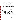| <b>Project Description.</b> Consideration under this criterion will evaluate the applicant's:<br>Approach. Applicant proposal must demonstrate the methodology and approach to<br>evaluate and demonstrate the stationary idle reduction technology at ports, borders, large<br>company terminals; or at truck stops as part of an idle-free corridor design.<br>Reputation. Applicant proposal must demonstrate a strong relationship and reputation<br>$\bullet$<br>with ports, borders, large company terminals, or truck stops, and with the stationary idle<br>reduction technology vendor.<br>Outreach. Applicant proposal must demonstrate their outreach capability. Fully explain<br>$\bullet$<br>how you work with ports, borders, large company terminals, or truck stops. What are<br>your outreach and communication skills and strategies?<br>Environment. Applicant proposal must demonstrate their experience or capability to<br>$\bullet$<br>analyze and track environmental results from the stationary idle reduction technology. | 25 |
|-------------------------------------------------------------------------------------------------------------------------------------------------------------------------------------------------------------------------------------------------------------------------------------------------------------------------------------------------------------------------------------------------------------------------------------------------------------------------------------------------------------------------------------------------------------------------------------------------------------------------------------------------------------------------------------------------------------------------------------------------------------------------------------------------------------------------------------------------------------------------------------------------------------------------------------------------------------------------------------------------------------------------------------------------------|----|
| <b>Programmatic Capability.</b> Extent to which proposal demonstrates the applicant's technical<br>capability to successfully carry out this project. This factor will evaluate the applicant's:<br>past performance in successfully completing federally and/or non-federally funded<br>projects similar in size, scope, and relevance to the proposed project;<br>history of meeting reporting requirements on prior or current assistance agreements with<br>$\bullet$<br>federal and/or non-federal organizations and submitting acceptable final technical<br>reports;<br>organizational experience and plan for timely and successfully achieving the objectives<br>$\bullet$<br>of the project,<br>staff expertise/qualifications, staff knowledge, and resources or the ability to obtain<br>$\bullet$<br>them, to successfully achieve the goals of the project                                                                                                                                                                              | 25 |
| Resources.<br>Budget: Applicant budget proposal should be clearly stated, detailed, and appropriate to<br>$\bullet$<br>achieve the project's objectives.<br>Leveraging: The proposal demonstrates (I) how the applicant will coordinate the use of<br>$\bullet$<br>EPA funding with other Federal and/or non Federal sources of funds to leverage<br>additional resources to carry out the proposed project(s) and/or (ii) that EPA funding will<br>compliment activities relevant to the proposed project(s) carried out by the applicant<br>with other sources of funds or resources. Applicants may use their own funds or other<br>resources for a voluntary match or cost share if the standards at 40 CFR 30.23 or 40 CFR<br>31.24, as applicable, are met. Only eligible and allowable costs may be used for matches<br>or cost shares. Other Federal grants may not be used as matches or cost shares without<br>specific statutory authority (e.g. HUD's Community Development Block Grants.                                                 | 25 |
| Technology.<br>Proposal demonstrates how the applicant will evaluate and study "Advanced Truck Stop<br>Electrification."                                                                                                                                                                                                                                                                                                                                                                                                                                                                                                                                                                                                                                                                                                                                                                                                                                                                                                                              | 15 |
| <b>Program Integration.</b><br>This factor measures the extent to which the applicant's proposal may be integrated with<br>other initiatives developed, or to be developed, by existing and potential program<br>partners under EPA's SmartWay Transport Program. Trucking fleets, or an interstate<br>corridor which are not EPA program partners may be offered as part of your project<br>proposal. Additional information on the SmartWay Program is available on the internet<br>at: http://www.epa.gov/smartway.                                                                                                                                                                                                                                                                                                                                                                                                                                                                                                                                | 10 |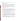### **B. Other Factors.**

EPA reserves the right to make award decisions based on factors that help ensure geographic equity and demonstration of a variety of technical approaches.

## **C. Review and Selection Process.**

Each application will be evaluated by a team chosen to address the range of activities associated with idle reduction efforts, the trucking industry, and air quality matters. The Evaluation Team will base its evaluation solely on the selection criteria disclosed in this notice *(see Section V(A), Evaluation Criteria)*.

Completed evaluations will be referred to a Selection Committee that is responsible for further consideration and final selection. The highest numerically-ranked proposal(s) (subject to the quality of proposals, availability of funds, and consideration of *Section V(B), Other Factors*) will be recommended for award.

## **Section VI - Award Administration Information.**

## **A. Award Notices.**

Following final selections, all applicants will be notified regarding their application's status.

- 1. EPA anticipates notification to *successful* applicant(s) will be made via telephone, electronic or postal mail by July 20, 2005. This notification, which advises that the applicant's proposal has been selected and is being recommended for award, is not an authorization to begin performance. The award notice signed by the EPA grants officer is the authorizing document and will be provided through postal mail. At a minimum, this process can take up to 90 days from the date of selection.
- 2. EPA anticipates notification to *unsuccessful* applicant(s) will be made via electronic or postal mail by July 20, 2005. In either event, the notification will be sent to the original signer of the application.

# **B. Administrative and National Policy Requirements.**

- 1. A listing and description of general EPA Regulations applicable to the award of assistance agreements may be viewed at: [http://www.epa.gov/ogd/AppKit/applicable\\_epa\\_regulations\\_and\\_description.htm.](http://www.epa.gov/ogd/AppKit/applicable_epa_regulations_and_description.htm)
- 2. Executive Order 12372, Intergovernmental Review of Federal Programs may be applicable to awards, resulting from this announcement. Applicants *selected* for funding may be required to provide a copy of their proposal to their [State Point of Contact](http://www.whitehouse.gov/omb/grants/spoc.html) (SPOC) for review, pursuant to Executive Order 12372, Intergovernmental Review of Federal Programs. This review is not required with the Initial Proposal and not all states require such a review.
- 3. All applicants are required to provide a Dun and Bradstreet (D&B) Data Universal Numbering System (DUNS) number when applying for a Federal grant or cooperative agreement. Applicants can receive a DUNS number, at no cost, by calling the dedicated toll-free DUNS Number request line at 1-866-705- 5711, or visiting the D&B website at: [http://www.dnb.com.](http://www.dnb.com/us/)